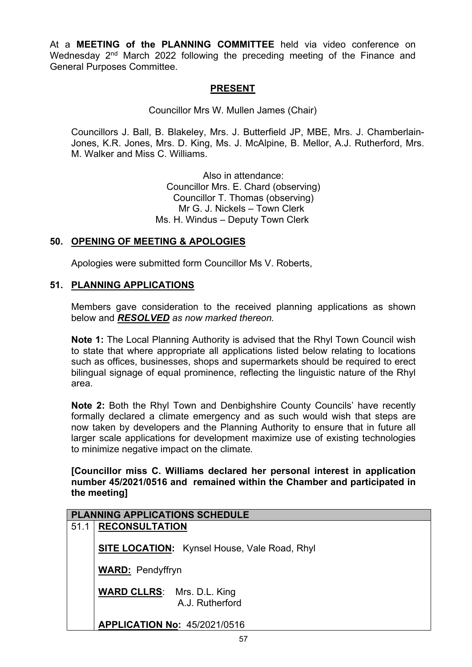At a **MEETING of the PLANNING COMMITTEE** held via video conference on Wednesday 2<sup>nd</sup> March 2022 following the preceding meeting of the Finance and General Purposes Committee.

## **PRESENT**

Councillor Mrs W. Mullen James (Chair)

Councillors J. Ball, B. Blakeley, Mrs. J. Butterfield JP, MBE, Mrs. J. Chamberlain-Jones, K.R. Jones, Mrs. D. King, Ms. J. McAlpine, B. Mellor, A.J. Rutherford, Mrs. M. Walker and Miss C. Williams.

> Also in attendance: Councillor Mrs. E. Chard (observing) Councillor T. Thomas (observing) Mr G. J. Nickels – Town Clerk Ms. H. Windus – Deputy Town Clerk

## **50. OPENING OF MEETING & APOLOGIES**

Apologies were submitted form Councillor Ms V. Roberts,

## **51. PLANNING APPLICATIONS**

Members gave consideration to the received planning applications as shown below and *RESOLVED as now marked thereon.*

**Note 1:** The Local Planning Authority is advised that the Rhyl Town Council wish to state that where appropriate all applications listed below relating to locations such as offices, businesses, shops and supermarkets should be required to erect bilingual signage of equal prominence, reflecting the linguistic nature of the Rhyl area.

**Note 2:** Both the Rhyl Town and Denbighshire County Councils' have recently formally declared a climate emergency and as such would wish that steps are now taken by developers and the Planning Authority to ensure that in future all larger scale applications for development maximize use of existing technologies to minimize negative impact on the climate*.*

#### **[Councillor miss C. Williams declared her personal interest in application number 45/2021/0516 and remained within the Chamber and participated in the meeting]**

|      | <b>PLANNING APPLICATIONS SCHEDULE</b>                |
|------|------------------------------------------------------|
| 51.1 | <b>RECONSULTATION</b>                                |
|      | <b>SITE LOCATION:</b> Kynsel House, Vale Road, Rhyl  |
|      | <b>WARD: Pendyffryn</b>                              |
|      | <b>WARD CLLRS:</b> Mrs. D.L. King<br>A.J. Rutherford |
|      | <b>APPLICATION No: 45/2021/0516</b>                  |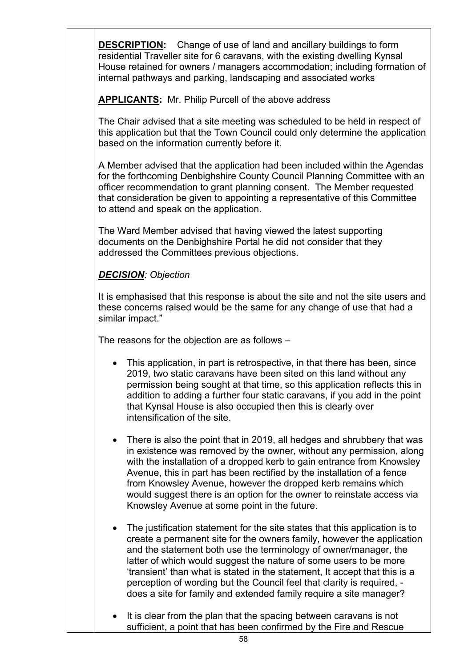**DESCRIPTION:** Change of use of land and ancillary buildings to form residential Traveller site for 6 caravans, with the existing dwelling Kynsal House retained for owners / managers accommodation; including formation of internal pathways and parking, landscaping and associated works

**APPLICANTS:** Mr. Philip Purcell of the above address

The Chair advised that a site meeting was scheduled to be held in respect of this application but that the Town Council could only determine the application based on the information currently before it.

A Member advised that the application had been included within the Agendas for the forthcoming Denbighshire County Council Planning Committee with an officer recommendation to grant planning consent. The Member requested that consideration be given to appointing a representative of this Committee to attend and speak on the application.

The Ward Member advised that having viewed the latest supporting documents on the Denbighshire Portal he did not consider that they addressed the Committees previous objections.

# *DECISION: Objection*

It is emphasised that this response is about the site and not the site users and these concerns raised would be the same for any change of use that had a similar impact."

The reasons for the objection are as follows –

- This application, in part is retrospective, in that there has been, since 2019, two static caravans have been sited on this land without any permission being sought at that time, so this application reflects this in addition to adding a further four static caravans, if you add in the point that Kynsal House is also occupied then this is clearly over intensification of the site.
- There is also the point that in 2019, all hedges and shrubbery that was in existence was removed by the owner, without any permission, along with the installation of a dropped kerb to gain entrance from Knowsley Avenue, this in part has been rectified by the installation of a fence from Knowsley Avenue, however the dropped kerb remains which would suggest there is an option for the owner to reinstate access via Knowsley Avenue at some point in the future.
- The justification statement for the site states that this application is to create a permanent site for the owners family, however the application and the statement both use the terminology of owner/manager, the latter of which would suggest the nature of some users to be more 'transient' than what is stated in the statement, It accept that this is a perception of wording but the Council feel that clarity is required, does a site for family and extended family require a site manager?
- It is clear from the plan that the spacing between caravans is not sufficient, a point that has been confirmed by the Fire and Rescue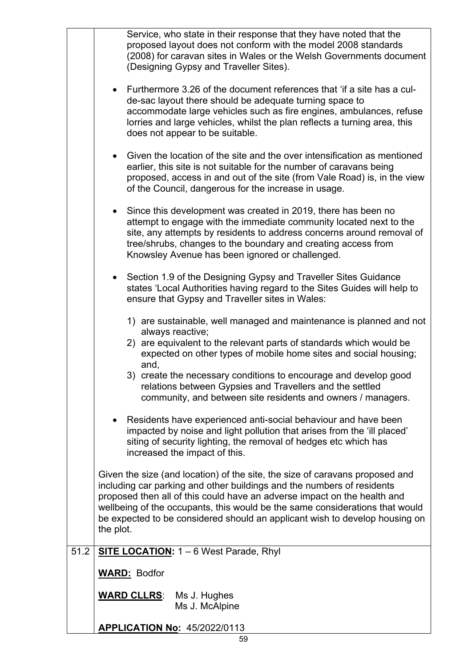|      | Service, who state in their response that they have noted that the<br>proposed layout does not conform with the model 2008 standards<br>(2008) for caravan sites in Wales or the Welsh Governments document<br>(Designing Gypsy and Traveller Sites).                                                                                                                                                          |
|------|----------------------------------------------------------------------------------------------------------------------------------------------------------------------------------------------------------------------------------------------------------------------------------------------------------------------------------------------------------------------------------------------------------------|
|      | Furthermore 3.26 of the document references that 'if a site has a cul-<br>$\bullet$<br>de-sac layout there should be adequate turning space to<br>accommodate large vehicles such as fire engines, ambulances, refuse<br>lorries and large vehicles, whilst the plan reflects a turning area, this<br>does not appear to be suitable.                                                                          |
|      | Given the location of the site and the over intensification as mentioned<br>$\bullet$<br>earlier, this site is not suitable for the number of caravans being<br>proposed, access in and out of the site (from Vale Road) is, in the view<br>of the Council, dangerous for the increase in usage.                                                                                                               |
|      | Since this development was created in 2019, there has been no<br>attempt to engage with the immediate community located next to the<br>site, any attempts by residents to address concerns around removal of<br>tree/shrubs, changes to the boundary and creating access from<br>Knowsley Avenue has been ignored or challenged.                                                                               |
|      | Section 1.9 of the Designing Gypsy and Traveller Sites Guidance<br>$\bullet$<br>states 'Local Authorities having regard to the Sites Guides will help to<br>ensure that Gypsy and Traveller sites in Wales:                                                                                                                                                                                                    |
|      | 1) are sustainable, well managed and maintenance is planned and not<br>always reactive;<br>2) are equivalent to the relevant parts of standards which would be<br>expected on other types of mobile home sites and social housing;<br>and,<br>3) create the necessary conditions to encourage and develop good                                                                                                 |
|      | relations between Gypsies and Travellers and the settled<br>community, and between site residents and owners / managers.                                                                                                                                                                                                                                                                                       |
|      | Residents have experienced anti-social behaviour and have been<br>impacted by noise and light pollution that arises from the 'ill placed'<br>siting of security lighting, the removal of hedges etc which has<br>increased the impact of this.                                                                                                                                                                 |
|      | Given the size (and location) of the site, the size of caravans proposed and<br>including car parking and other buildings and the numbers of residents<br>proposed then all of this could have an adverse impact on the health and<br>wellbeing of the occupants, this would be the same considerations that would<br>be expected to be considered should an applicant wish to develop housing on<br>the plot. |
| 51.2 | SITE LOCATION: 1 - 6 West Parade, Rhyl                                                                                                                                                                                                                                                                                                                                                                         |
|      | <b>WARD: Bodfor</b>                                                                                                                                                                                                                                                                                                                                                                                            |
|      | <b>WARD CLLRS:</b><br>Ms J. Hughes<br>Ms J. McAlpine                                                                                                                                                                                                                                                                                                                                                           |
|      | <b>APPLICATION No: 45/2022/0113</b>                                                                                                                                                                                                                                                                                                                                                                            |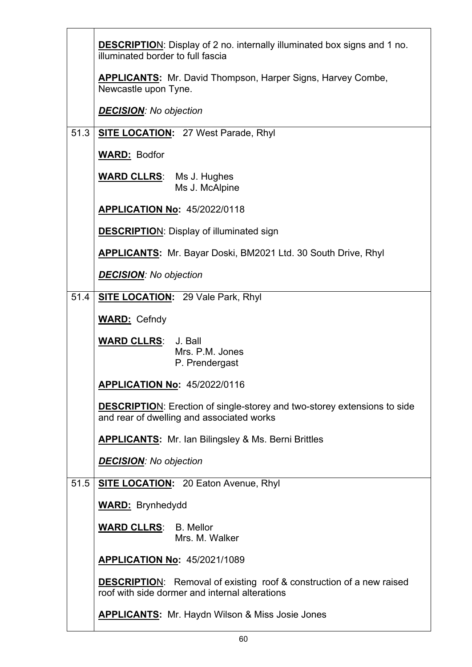|      | <b>DESCRIPTION:</b> Display of 2 no. internally illuminated box signs and 1 no.<br>illuminated border to full fascia          |
|------|-------------------------------------------------------------------------------------------------------------------------------|
|      | <b>APPLICANTS:</b> Mr. David Thompson, Harper Signs, Harvey Combe,<br>Newcastle upon Tyne.                                    |
|      | <b>DECISION:</b> No objection                                                                                                 |
| 51.3 | <b>SITE LOCATION: 27 West Parade, Rhyl</b>                                                                                    |
|      | <b>WARD: Bodfor</b>                                                                                                           |
|      | <b>WARD CLLRS:</b> Ms J. Hughes<br>Ms J. McAlpine                                                                             |
|      | <b>APPLICATION No: 45/2022/0118</b>                                                                                           |
|      | <b>DESCRIPTION:</b> Display of illuminated sign                                                                               |
|      | APPLICANTS: Mr. Bayar Doski, BM2021 Ltd. 30 South Drive, Rhyl                                                                 |
|      | <b>DECISION:</b> No objection                                                                                                 |
| 51.4 | <b>SITE LOCATION:</b> 29 Vale Park, Rhyl                                                                                      |
|      | <b>WARD: Cefndy</b>                                                                                                           |
|      |                                                                                                                               |
|      | <b>WARD CLLRS:</b> J. Ball<br>Mrs. P.M. Jones<br>P. Prendergast                                                               |
|      | <b>APPLICATION No: 45/2022/0116</b>                                                                                           |
|      | <b>DESCRIPTION:</b> Erection of single-storey and two-storey extensions to side<br>and rear of dwelling and associated works  |
|      | <b>APPLICANTS:</b> Mr. Ian Bilingsley & Ms. Berni Brittles                                                                    |
|      | <b>DECISION:</b> No objection                                                                                                 |
| 51.5 | <b>SITE LOCATION:</b> 20 Eaton Avenue, Rhyl                                                                                   |
|      | <b>WARD:</b> Brynhedydd                                                                                                       |
|      | <b>WARD CLLRS: B. Mellor</b><br>Mrs. M. Walker                                                                                |
|      | <b>APPLICATION No: 45/2021/1089</b>                                                                                           |
|      | <b>DESCRIPTION:</b> Removal of existing roof & construction of a new raised<br>roof with side dormer and internal alterations |